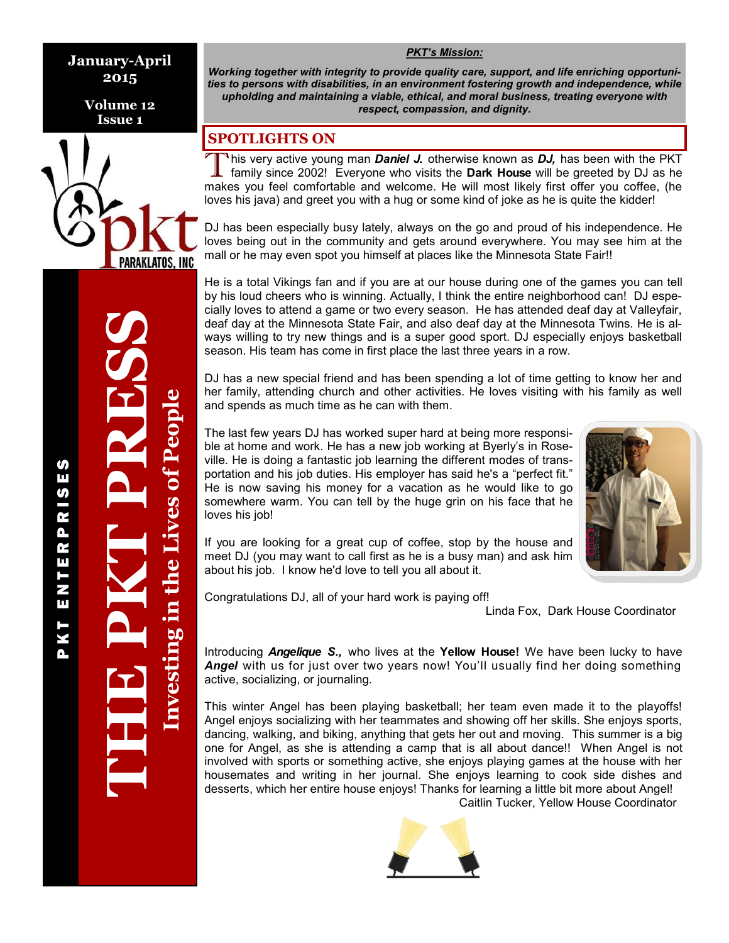**January-April 2015**

> **Volume 12 Issue 1**



THE PKT PRESSS

P K T E N T E R P R I S E S

ENTERPRI

KТ Δ.

**S** П U) **Investing in the Lives of People**

nvesting in the Lives of People

*Working together with integrity to provide quality care, support, and life enriching opportunities to persons with disabilities, in an environment fostering growth and independence, while upholding and maintaining a viable, ethical, and moral business, treating everyone with respect, compassion, and dignity.*

*PKT's Mission:*

## **SPOTLIGHTS ON**

This very active young man **Daniel J.** otherwise known as **DJ**, has been with the PKT family since 2002! Everyone who visits the **Dark House** will be greeted by DJ as he makes you feel comfortable and welcome. He will most <sup>1</sup>his very active young man *Daniel J.* otherwise known as *DJ*, has been with the PKT family since 2002! Everyone who visits the **Dark House** will be greeted by DJ as he loves his java) and greet you with a hug or some kind of joke as he is quite the kidder!

DJ has been especially busy lately, always on the go and proud of his independence. He loves being out in the community and gets around everywhere. You may see him at the mall or he may even spot you himself at places like the Minnesota State Fair!!

He is a total Vikings fan and if you are at our house during one of the games you can tell by his loud cheers who is winning. Actually, I think the entire neighborhood can! DJ especially loves to attend a game or two every season. He has attended deaf day at Valleyfair, deaf day at the Minnesota State Fair, and also deaf day at the Minnesota Twins. He is always willing to try new things and is a super good sport. DJ especially enjoys basketball season. His team has come in first place the last three years in a row.

DJ has a new special friend and has been spending a lot of time getting to know her and her family, attending church and other activities. He loves visiting with his family as well and spends as much time as he can with them.

The last few years DJ has worked super hard at being more responsible at home and work. He has a new job working at Byerly's in Roseville. He is doing a fantastic job learning the different modes of transportation and his job duties. His employer has said he's a "perfect fit." He is now saving his money for a vacation as he would like to go somewhere warm. You can tell by the huge grin on his face that he loves his job!



If you are looking for a great cup of coffee, stop by the house and meet DJ (you may want to call first as he is a busy man) and ask him about his job. I know he'd love to tell you all about it.

Congratulations DJ, all of your hard work is paying off!

Linda Fox, Dark House Coordinator

Introducing *Angelique S.,* who lives at the **Yellow House!** We have been lucky to have *Angel* with us for just over two years now! You'll usually find her doing something active, socializing, or journaling.

This winter Angel has been playing basketball; her team even made it to the playoffs! Angel enjoys socializing with her teammates and showing off her skills. She enjoys sports, dancing, walking, and biking, anything that gets her out and moving. This summer is a big one for Angel, as she is attending a camp that is all about dance!! When Angel is not involved with sports or something active, she enjoys playing games at the house with her housemates and writing in her journal. She enjoys learning to cook side dishes and desserts, which her entire house enjoys! Thanks for learning a little bit more about Angel! Caitlin Tucker, Yellow House Coordinator

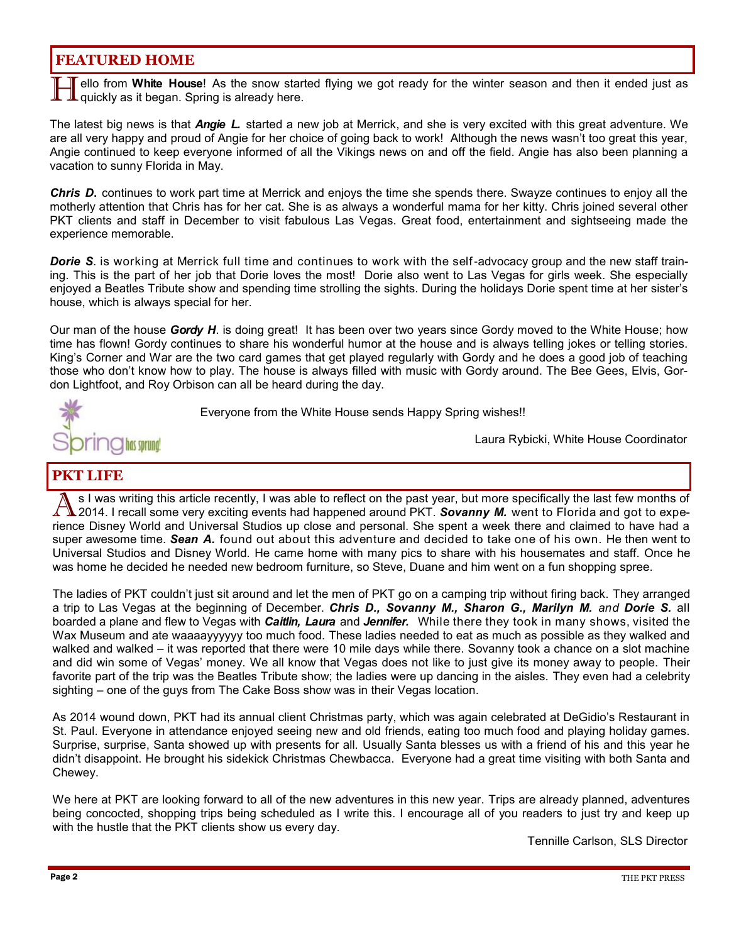## **FEATURED HOME**

ello from White House! As the snow started flying we got ready for the winter season and then it ended just as  $\bf I$  quickly as it began. Spring is already here.

The latest big news is that *Angie L.* started a new job at Merrick, and she is very excited with this great adventure. We are all very happy and proud of Angie for her choice of going back to work! Although the news wasn't too great this year, Angie continued to keep everyone informed of all the Vikings news on and off the field. Angie has also been planning a vacation to sunny Florida in May.

*Chris D***.** continues to work part time at Merrick and enjoys the time she spends there. Swayze continues to enjoy all the motherly attention that Chris has for her cat. She is as always a wonderful mama for her kitty. Chris joined several other PKT clients and staff in December to visit fabulous Las Vegas. Great food, entertainment and sightseeing made the experience memorable.

*Dorie S*. is working at Merrick full time and continues to work with the self-advocacy group and the new staff training. This is the part of her job that Dorie loves the most! Dorie also went to Las Vegas for girls week. She especially enjoyed a Beatles Tribute show and spending time strolling the sights. During the holidays Dorie spent time at her sister's house, which is always special for her.

Our man of the house *Gordy H*. is doing great! It has been over two years since Gordy moved to the White House; how time has flown! Gordy continues to share his wonderful humor at the house and is always telling jokes or telling stories. King's Corner and War are the two card games that get played regularly with Gordy and he does a good job of teaching those who don't know how to play. The house is always filled with music with Gordy around. The Bee Gees, Elvis, Gordon Lightfoot, and Roy Orbison can all be heard during the day.



Everyone from the White House sends Happy Spring wishes!!

Laura Rybicki, White House Coordinator

## **PKT LIFE**

S I was writing this article recently, I was able to reflect on the past year, but more specifically the last few months of 2014. I recall some very exciting events had happened around PKT. Sovanny M. went to Florida and g s I was writing this article recently, I was able to reflect on the past year, but more specifically the last few months of 2014. I recall some very exciting events had happened around PKT. *Sovanny M.* went to Florida and got to expesuper awesome time. *Sean A.* found out about this adventure and decided to take one of his own. He then went to Universal Studios and Disney World. He came home with many pics to share with his housemates and staff. Once he was home he decided he needed new bedroom furniture, so Steve, Duane and him went on a fun shopping spree.

The ladies of PKT couldn't just sit around and let the men of PKT go on a camping trip without firing back. They arranged a trip to Las Vegas at the beginning of December. *Chris D., Sovanny M., Sharon G., Marilyn M. and Dorie S.* all boarded a plane and flew to Vegas with *Caitlin, Laura* and *Jennifer.* While there they took in many shows, visited the Wax Museum and ate waaaayyyyyy too much food. These ladies needed to eat as much as possible as they walked and walked and walked – it was reported that there were 10 mile days while there. Sovanny took a chance on a slot machine and did win some of Vegas' money. We all know that Vegas does not like to just give its money away to people. Their favorite part of the trip was the Beatles Tribute show; the ladies were up dancing in the aisles. They even had a celebrity sighting – one of the guys from The Cake Boss show was in their Vegas location.

As 2014 wound down, PKT had its annual client Christmas party, which was again celebrated at DeGidio's Restaurant in St. Paul. Everyone in attendance enjoyed seeing new and old friends, eating too much food and playing holiday games. Surprise, surprise, Santa showed up with presents for all. Usually Santa blesses us with a friend of his and this year he didn't disappoint. He brought his sidekick Christmas Chewbacca. Everyone had a great time visiting with both Santa and Chewey.

We here at PKT are looking forward to all of the new adventures in this new year. Trips are already planned, adventures being concocted, shopping trips being scheduled as I write this. I encourage all of you readers to just try and keep up with the hustle that the PKT clients show us every day.

Tennille Carlson, SLS Director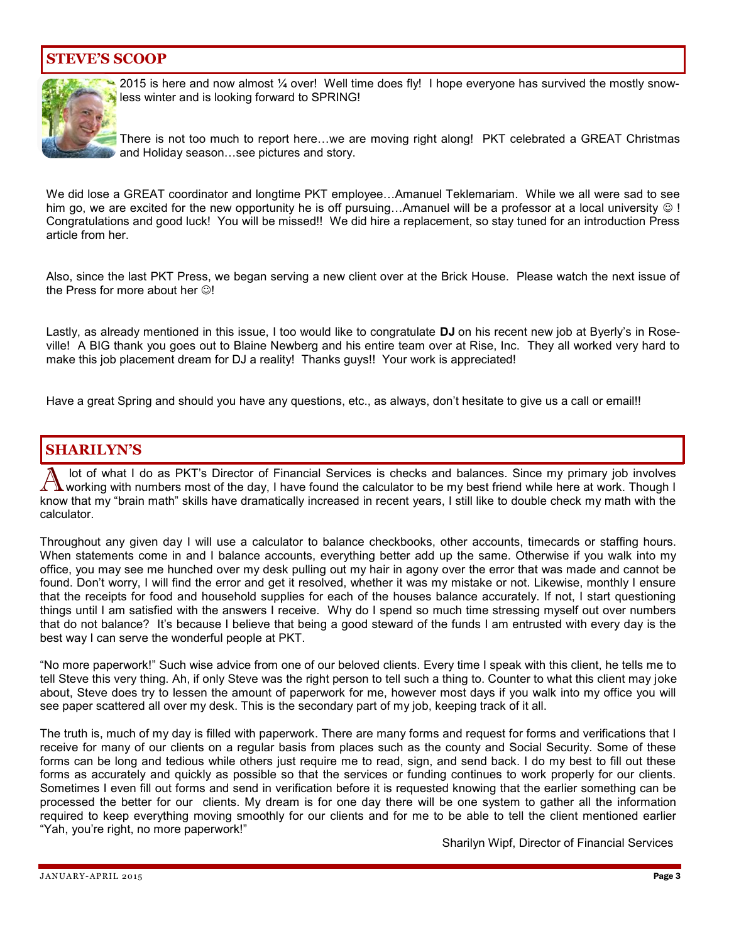## **STEVE'S SCOOP**



2015 is here and now almost ¼ over! Well time does fly! I hope everyone has survived the mostly snowless winter and is looking forward to SPRING!

There is not too much to report here…we are moving right along! PKT celebrated a GREAT Christmas and Holiday season…see pictures and story.

We did lose a GREAT coordinator and longtime PKT employee…Amanuel Teklemariam. While we all were sad to see him go, we are excited for the new opportunity he is off pursuing...Amanuel will be a professor at a local university  $\circledcirc$ ! Congratulations and good luck! You will be missed!! We did hire a replacement, so stay tuned for an introduction Press article from her.

Also, since the last PKT Press, we began serving a new client over at the Brick House. Please watch the next issue of the Press for more about her  $\odot$ !

Lastly, as already mentioned in this issue, I too would like to congratulate **DJ** on his recent new job at Byerly's in Roseville! A BIG thank you goes out to Blaine Newberg and his entire team over at Rise, Inc. They all worked very hard to make this job placement dream for DJ a reality! Thanks guys!! Your work is appreciated!

Have a great Spring and should you have any questions, etc., as always, don't hesitate to give us a call or email!!

## **SHARILYN'S**

A lot of what I do as PKT's Director of Financial Services is checks and balances. Since my primary job involves working with numbers most of the day, I have found the calculator to be my best friend while here at work. Though I know that my "brain math" skills have dramatically increased in recent years, I still like to double check my math with the calculator.

Throughout any given day I will use a calculator to balance checkbooks, other accounts, timecards or staffing hours. When statements come in and I balance accounts, everything better add up the same. Otherwise if you walk into my office, you may see me hunched over my desk pulling out my hair in agony over the error that was made and cannot be found. Don't worry, I will find the error and get it resolved, whether it was my mistake or not. Likewise, monthly I ensure that the receipts for food and household supplies for each of the houses balance accurately. If not, I start questioning things until I am satisfied with the answers I receive. Why do I spend so much time stressing myself out over numbers that do not balance? It's because I believe that being a good steward of the funds I am entrusted with every day is the best way I can serve the wonderful people at PKT.

"No more paperwork!" Such wise advice from one of our beloved clients. Every time I speak with this client, he tells me to tell Steve this very thing. Ah, if only Steve was the right person to tell such a thing to. Counter to what this client may joke about, Steve does try to lessen the amount of paperwork for me, however most days if you walk into my office you will see paper scattered all over my desk. This is the secondary part of my job, keeping track of it all.

The truth is, much of my day is filled with paperwork. There are many forms and request for forms and verifications that I receive for many of our clients on a regular basis from places such as the county and Social Security. Some of these forms can be long and tedious while others just require me to read, sign, and send back. I do my best to fill out these forms as accurately and quickly as possible so that the services or funding continues to work properly for our clients. Sometimes I even fill out forms and send in verification before it is requested knowing that the earlier something can be processed the better for our clients. My dream is for one day there will be one system to gather all the information required to keep everything moving smoothly for our clients and for me to be able to tell the client mentioned earlier "Yah, you're right, no more paperwork!"

Sharilyn Wipf, Director of Financial Services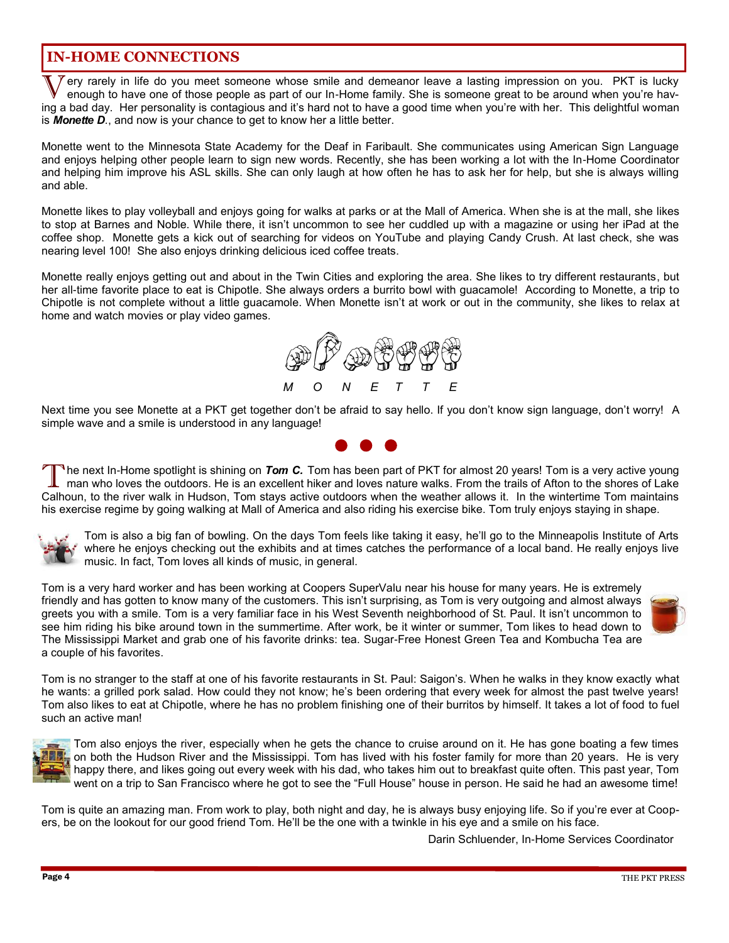## **IN-HOME CONNECTIONS**

Very rarely in life do you meet someone whose smile and demeanor leave a lasting impression on you. PKT is lucky<br>enough to have one of those people as part of our In-Home family. She is someone great to be around when you' ery rarely in life do you meet someone whose smile and demeanor leave a lasting impression on you. PKT is lucky enough to have one of those people as part of our In-Home family. She is someone great to be around when you're havis *Monette D.*, and now is your chance to get to know her a little better.

Monette went to the Minnesota State Academy for the Deaf in Faribault. She communicates using American Sign Language and enjoys helping other people learn to sign new words. Recently, she has been working a lot with the In-Home Coordinator and helping him improve his ASL skills. She can only laugh at how often he has to ask her for help, but she is always willing and able.

Monette likes to play volleyball and enjoys going for walks at parks or at the Mall of America. When she is at the mall, she likes to stop at Barnes and Noble. While there, it isn't uncommon to see her cuddled up with a magazine or using her iPad at the coffee shop. Monette gets a kick out of searching for videos on YouTube and playing Candy Crush. At last check, she was nearing level 100! She also enjoys drinking delicious iced coffee treats.

Monette really enjoys getting out and about in the Twin Cities and exploring the area. She likes to try different restaurants, but her all-time favorite place to eat is Chipotle. She always orders a burrito bowl with guacamole! According to Monette, a trip to Chipotle is not complete without a little guacamole. When Monette isn't at work or out in the community, she likes to relax at home and watch movies or play video games.



Next time you see Monette at a PKT get together don't be afraid to say hello. If you don't know sign language, don't worry! A simple wave and a smile is understood in any language!

The next In-Home spotlight is shining on Tom C. Tom has been part of PKT for almost 20 years! Tom is a very active young<br>man who loves the outdoors. He is an excellent hiker and loves nature walks. From the trails of Afton <sup>n</sup>he next In-Home spotlight is shining on *Tom C.* Tom has been part of PKT for almost 20 years! Tom is a very active young man who loves the outdoors. He is an excellent hiker and loves nature walks. From the trails of Afton to the shores of Lake his exercise regime by going walking at Mall of America and also riding his exercise bike. Tom truly enjoys staying in shape.



Tom is also a big fan of bowling. On the days Tom feels like taking it easy, he'll go to the Minneapolis Institute of Arts where he enjoys checking out the exhibits and at times catches the performance of a local band. He really enjoys live music. In fact, Tom loves all kinds of music, in general.

Tom is a very hard worker and has been working at Coopers SuperValu near his house for many years. He is extremely friendly and has gotten to know many of the customers. This isn't surprising, as Tom is very outgoing and almost always greets you with a smile. Tom is a very familiar face in his West Seventh neighborhood of St. Paul. It isn't uncommon to see him riding his bike around town in the summertime. After work, be it winter or summer, Tom likes to head down to The Mississippi Market and grab one of his favorite drinks: tea. Sugar-Free Honest Green Tea and Kombucha Tea are a couple of his favorites.



Tom is no stranger to the staff at one of his favorite restaurants in St. Paul: Saigon's. When he walks in they know exactly what he wants: a grilled pork salad. How could they not know; he's been ordering that every week for almost the past twelve years! Tom also likes to eat at Chipotle, where he has no problem finishing one of their burritos by himself. It takes a lot of food to fuel such an active man!



Tom also enjoys the river, especially when he gets the chance to cruise around on it. He has gone boating a few times on both the Hudson River and the Mississippi. Tom has lived with his foster family for more than 20 years. He is very happy there, and likes going out every week with his dad, who takes him out to breakfast quite often. This past year, Tom went on a trip to San Francisco where he got to see the "Full House" house in person. He said he had an awesome time!

Tom is quite an amazing man. From work to play, both night and day, he is always busy enjoying life. So if you're ever at Coopers, be on the lookout for our good friend Tom. He'll be the one with a twinkle in his eye and a smile on his face.

Darin Schluender, In-Home Services Coordinator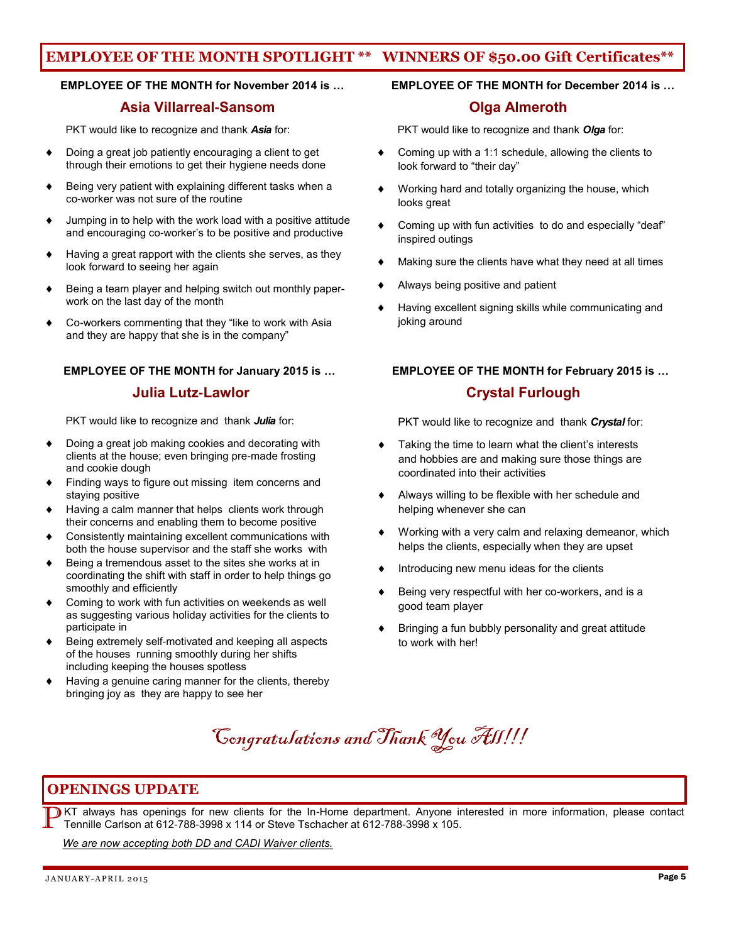## **EMPLOYEE OF THE MONTH SPOTLIGHT \*\* WINNERS OF \$50.00 Gift Certificates\*\***

### **EMPLOYEE OF THE MONTH for November 2014 is … EMPLOYEE OF THE MONTH for December 2014 is …**

## **Asia Villarreal-Sansom Olga Almeroth**

PKT would like to recognize and thank *Asia* for:

- Doing a great job patiently encouraging a client to get through their emotions to get their hygiene needs done
- Being very patient with explaining different tasks when a co-worker was not sure of the routine
- Jumping in to help with the work load with a positive attitude and encouraging co-worker's to be positive and productive
- Having a great rapport with the clients she serves, as they look forward to seeing her again
- Being a team player and helping switch out monthly paperwork on the last day of the month
- Co-workers commenting that they "like to work with Asia and they are happy that she is in the company"

### **EMPLOYEE OF THE MONTH for January 2015 is … EMPLOYEE OF THE MONTH for February 2015 is …**

## **19. In the Lutz-Lawlor Crystal Furlough** Crystal Furlough

PKT would like to recognize and thank *Julia* for:

- Doing a great job making cookies and decorating with clients at the house; even bringing pre-made frosting and cookie dough
- Finding ways to figure out missing item concerns and staying positive
- Having a calm manner that helps clients work through their concerns and enabling them to become positive
- Consistently maintaining excellent communications with both the house supervisor and the staff she works with
- Being a tremendous asset to the sites she works at in coordinating the shift with staff in order to help things go smoothly and efficiently
- Coming to work with fun activities on weekends as well as suggesting various holiday activities for the clients to participate in
- Being extremely self-motivated and keeping all aspects of the houses running smoothly during her shifts including keeping the houses spotless
- Having a genuine caring manner for the clients, thereby bringing joy as they are happy to see her

PKT would like to recognize and thank *Olga* for:

- Coming up with a 1:1 schedule, allowing the clients to look forward to "their day"
- Working hard and totally organizing the house, which looks great
- Coming up with fun activities to do and especially "deaf" inspired outings
- Making sure the clients have what they need at all times
- Always being positive and patient
- Having excellent signing skills while communicating and joking around

PKT would like to recognize and thank *Crystal* for:

- Taking the time to learn what the client's interests and hobbies are and making sure those things are coordinated into their activities
- Always willing to be flexible with her schedule and helping whenever she can
- Working with a very calm and relaxing demeanor, which helps the clients, especially when they are upset
- Introducing new menu ideas for the clients
- Being very respectful with her co-workers, and is a good team player
- Bringing a fun bubbly personality and great attitude to work with her!

## Congratulations and Thank You All!!!

## **OPENINGS UPDATE**

**P**KT always has openings for new clients for the In-Home department. Anyone interested in more information, please contact Tennille Carlson at 612-788-3998 x 114 or Steve Tschacher at 612-788-3998 x 105. Tennille Carlson at 612-788-3998 x 114 or Steve Tschacher at 612-788-3998 x 105.

 *We are now accepting both DD and CADI Waiver clients.*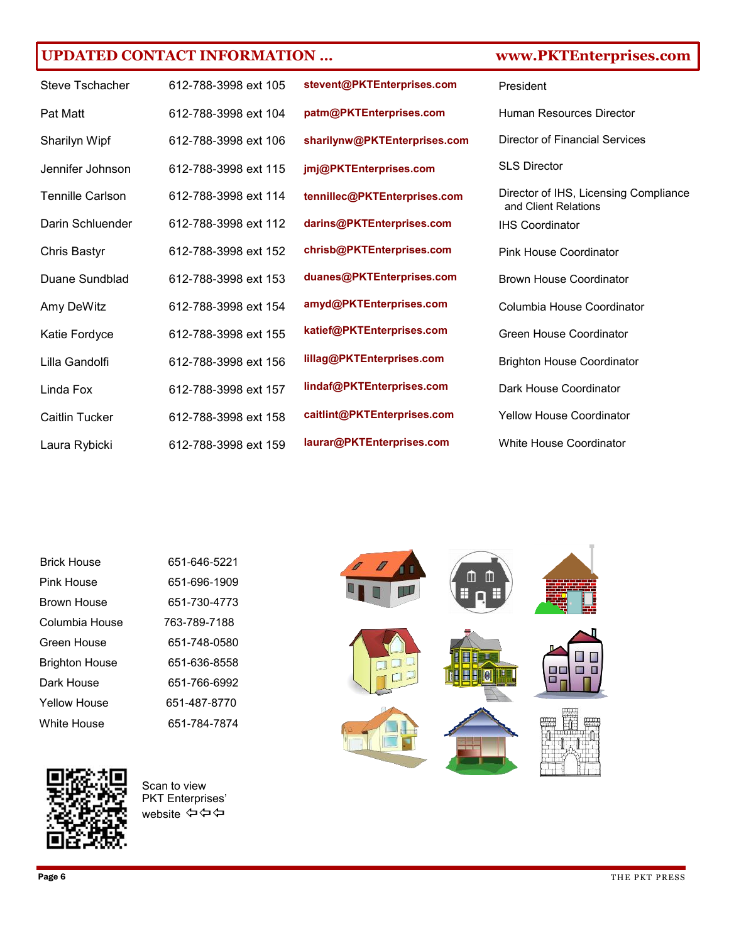## **UPDATED CONTACT INFORMATION … www.PKTEnterprises.com**

| Steve Tschacher         | 612-788-3998 ext 105 |
|-------------------------|----------------------|
| Pat Matt                | 612-788-3998 ext 104 |
| Sharilyn Wipf           | 612-788-3998 ext 106 |
| Jennifer Johnson        | 612-788-3998 ext 115 |
| <b>Tennille Carlson</b> | 612-788-3998 ext 114 |
| Darin Schluender        | 612-788-3998 ext 112 |
| <b>Chris Bastyr</b>     | 612-788-3998 ext 152 |
| Duane Sundblad          | 612-788-3998 ext 153 |
| Amy DeWitz              | 612-788-3998 ext 154 |
| Katie Fordyce           | 612-788-3998 ext 155 |
| Lilla Gandolfi          | 612-788-3998 ext 156 |
| Linda Fox               | 612-788-3998 ext 157 |
| Caitlin Tucker          | 612-788-3998 ext 158 |
| Laura Rybicki           | 612-788-3998 ext 159 |

**stevent@PKTEnterprises.com patm@PKTEnterprises.com sharilynw@PKTEnterprises.com jmj@PKTEnterprises.com tennillec@PKTEnterprises.com darins@PKTEnterprises.com chrisb@PKTEnterprises.com duanes@PKTEnterprises.com amyd@PKTEnterprises.com katief@PKTEnterprises.com lillag@PKTEnterprises.com lindaf@PKTEnterprises.com caitlint@PKTEnterprises.com laurar@PKTEnterprises.com**

| President                                                                               |
|-----------------------------------------------------------------------------------------|
| Human Resources Director                                                                |
| Director of Financial Services                                                          |
| <b>SLS Director</b>                                                                     |
| Director of IHS, Licensing Compliance<br>and Client Relations<br><b>IHS Coordinator</b> |
| <b>Pink House Coordinator</b>                                                           |
| Brown House Coordinator                                                                 |
| Columbia House Coordinator                                                              |
| Green House Coordinator                                                                 |
| <b>Brighton House Coordinator</b>                                                       |
| Dark House Coordinator                                                                  |
| <b>Yellow House Coordinator</b>                                                         |
| <b>White House Coordinator</b>                                                          |

| <b>Brick House</b>    | 651-646-5221 |
|-----------------------|--------------|
| Pink House            | 651-696-1909 |
| Brown House           | 651-730-4773 |
| Columbia House        | 763-789-7188 |
| Green House           | 651-748-0580 |
| <b>Brighton House</b> | 651-636-8558 |
| Dark House            | 651-766-6992 |
| Yellow House          | 651-487-8770 |
| White House           | 651-784-7874 |



Scan to view PKT Enterprises' website ⇔⇔⇔



Page 6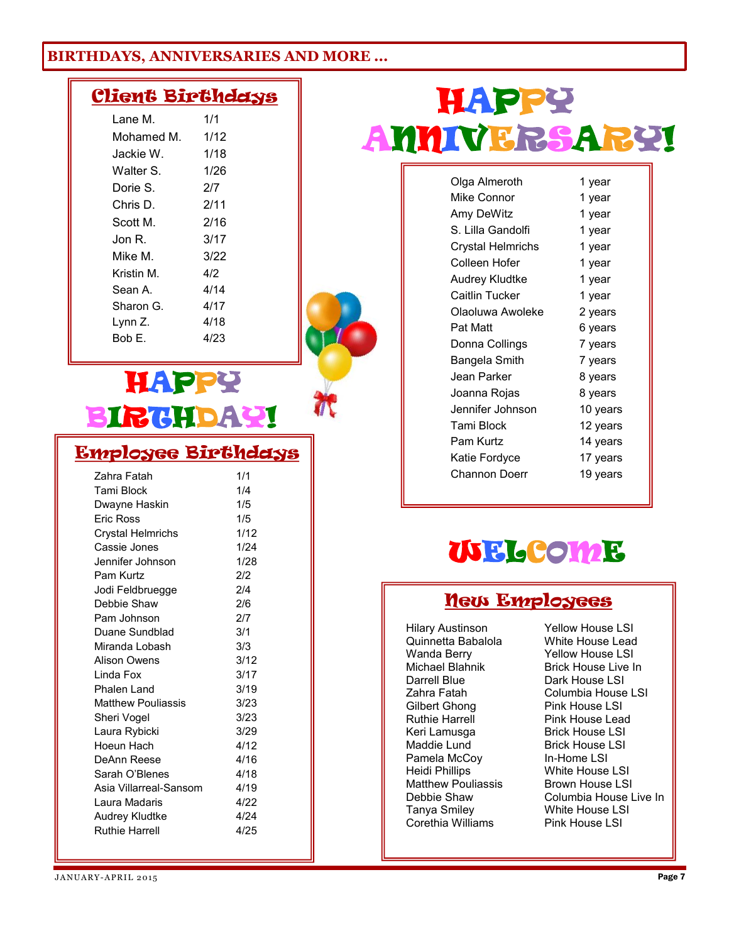## **BIRTHDAYS, ANNIVERSARIES AND MORE ...**

## Client Birthdays

| Lane M.    | 1/1  |
|------------|------|
| Mohamed M. | 1/12 |
| Jackie W.  | 1/18 |
| Walter S.  | 1/26 |
| Dorie S.   | 217  |
| Chris D.   | 2/11 |
| Scott M.   | 2/16 |
| Jon R.     | 3/17 |
| Mike M.    | 3/22 |
| Kristin M  | 412  |
| Sean A.    | 4/14 |
| Sharon G.  | 4/17 |
| Lynn Z.    | 4/18 |
| Bob F.     | 4/23 |
|            |      |

# **HAPPY** IRCHDAY!

## Employee Birthdays

| Zahra Fatah               | 1/1  |
|---------------------------|------|
| Tami Block                | 1/4  |
| Dwayne Haskin             | 1/5  |
| Eric Ross                 | 1/5  |
| <b>Crystal Helmrichs</b>  | 1/12 |
| Cassie Jones              | 1/24 |
| Jennifer Johnson          | 1/28 |
| Pam Kurtz                 | 2/2  |
| Jodi Feldbruegge          | 2/4  |
| Debbie Shaw               | 2/6  |
| Pam Johnson               | 2/7  |
| Duane Sundblad            | 3/1  |
| Miranda Lobash            | 3/3  |
| Alison Owens              | 3/12 |
| Linda Fox                 | 3/17 |
| Phalen Land               | 3/19 |
| <b>Matthew Pouliassis</b> | 3/23 |
| Sheri Vogel               | 3/23 |
| Laura Rybicki             | 3/29 |
| Hoeun Hach                | 4/12 |
| DeAnn Reese               | 4/16 |
| Sarah O'Blenes            | 4/18 |
| Asia Villarreal-Sansom    | 4/19 |
| Laura Madaris             | 4/22 |
| Audrey Kludtke            | 4/24 |
| <b>Ruthie Harrell</b>     | 4/25 |
|                           |      |

# HAPPY ANNIVERSARY!

Ī

| Olga Almeroth     | 1 year   |
|-------------------|----------|
| Mike Connor       | 1 year   |
| Amy DeWitz        | 1 year   |
| S. Lilla Gandolfi | 1 year   |
| Crystal Helmrichs | 1 year   |
| Colleen Hofer     | 1 year   |
| Audrey Kludtke    | 1 year   |
| Caitlin Tucker    | 1 year   |
| Olaoluwa Awoleke  | 2 years  |
| Pat Matt          | 6 years  |
| Donna Collings    | 7 years  |
| Bangela Smith     | 7 years  |
| Jean Parker       | 8 years  |
| Joanna Rojas      | 8 years  |
| Jennifer Johnson  | 10 years |
| <b>Tami Block</b> | 12 years |
| Pam Kurtz         | 14 years |
| Katie Fordyce     | 17 years |
| Channon Doerr     | 19 years |
|                   |          |

# WELCOME

## New Employees

Hilary Austinson Quinnetta Babalola Wanda Berry Michael Blahnik Darrell Blue Zahra Fatah Gilbert Ghong Ruthie Harrell Keri Lamusga Maddie Lund Pamela McCoy Heidi Phillips Matthew Pouliassis Debbie Shaw Tanya Smiley Corethia Williams

Yellow House LSI White House Lead Yellow House LSI Brick House Live In Dark House LSI Columbia House LSI Pink House LSI Pink House Lead Brick House LSI Brick House LSI In-Home LSI White House LSL Brown House LSI Columbia House Live In White House LSI Pink House LSI